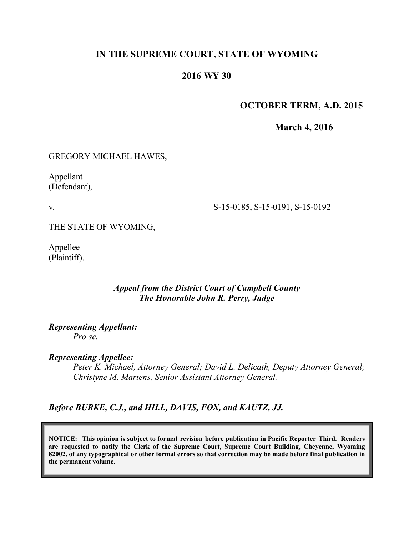# **IN THE SUPREME COURT, STATE OF WYOMING**

# **2016 WY 30**

 **OCTOBER TERM, A.D. 2015**

**March 4, 2016**

GREGORY MICHAEL HAWES,

Appellant (Defendant),

v.

S-15-0185, S-15-0191, S-15-0192

THE STATE OF WYOMING,

Appellee (Plaintiff).

### *Appeal from the District Court of Campbell County The Honorable John R. Perry, Judge*

*Representing Appellant:*

*Pro se.*

*Representing Appellee:*

*Peter K. Michael, Attorney General; David L. Delicath, Deputy Attorney General; Christyne M. Martens, Senior Assistant Attorney General.* 

*Before BURKE, C.J., and HILL, DAVIS, FOX, and KAUTZ, JJ.*

**NOTICE: This opinion is subject to formal revision before publication in Pacific Reporter Third. Readers are requested to notify the Clerk of the Supreme Court, Supreme Court Building, Cheyenne, Wyoming 82002, of any typographical or other formal errors so that correction may be made before final publication in the permanent volume.**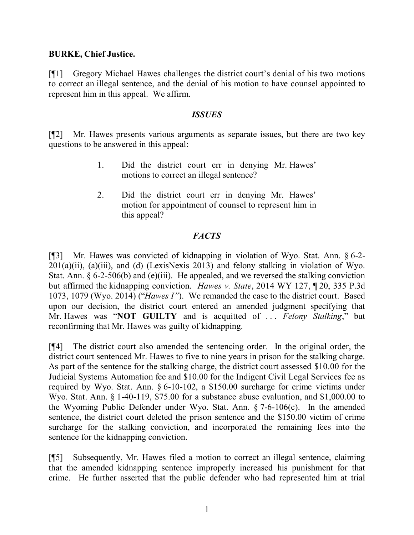### **BURKE, Chief Justice.**

[¶1] Gregory Michael Hawes challenges the district court's denial of his two motions to correct an illegal sentence, and the denial of his motion to have counsel appointed to represent him in this appeal. We affirm.

#### *ISSUES*

[¶2] Mr. Hawes presents various arguments as separate issues, but there are two key questions to be answered in this appeal:

- 1. Did the district court err in denying Mr. Hawes' motions to correct an illegal sentence?
- 2. Did the district court err in denying Mr. Hawes' motion for appointment of counsel to represent him in this appeal?

### *FACTS*

[¶3] Mr. Hawes was convicted of kidnapping in violation of Wyo. Stat. Ann. § 6-2- 201(a)(ii), (a)(iii), and (d) (LexisNexis 2013) and felony stalking in violation of Wyo. Stat. Ann.  $\S 6$ -2-506(b) and (e)(iii). He appealed, and we reversed the stalking conviction but affirmed the kidnapping conviction. *Hawes v. State*, 2014 WY 127, ¶ 20, 335 P.3d 1073, 1079 (Wyo. 2014) ("*Hawes I"*). We remanded the case to the district court. Based upon our decision, the district court entered an amended judgment specifying that Mr. Hawes was "**NOT GUILTY** and is acquitted of . . . *Felony Stalking*," but reconfirming that Mr. Hawes was guilty of kidnapping.

[¶4] The district court also amended the sentencing order. In the original order, the district court sentenced Mr. Hawes to five to nine years in prison for the stalking charge. As part of the sentence for the stalking charge, the district court assessed \$10.00 for the Judicial Systems Automation fee and \$10.00 for the Indigent Civil Legal Services fee as required by Wyo. Stat. Ann. § 6-10-102, a \$150.00 surcharge for crime victims under Wyo. Stat. Ann. § 1-40-119, \$75.00 for a substance abuse evaluation, and \$1,000.00 to the Wyoming Public Defender under Wyo. Stat. Ann. § 7-6-106(c). In the amended sentence, the district court deleted the prison sentence and the \$150.00 victim of crime surcharge for the stalking conviction, and incorporated the remaining fees into the sentence for the kidnapping conviction.

[¶5] Subsequently, Mr. Hawes filed a motion to correct an illegal sentence, claiming that the amended kidnapping sentence improperly increased his punishment for that crime. He further asserted that the public defender who had represented him at trial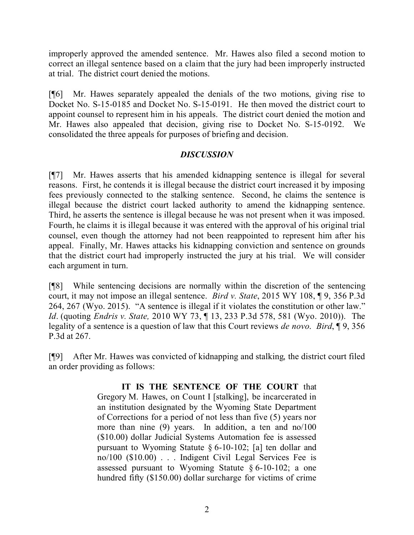improperly approved the amended sentence. Mr. Hawes also filed a second motion to correct an illegal sentence based on a claim that the jury had been improperly instructed at trial. The district court denied the motions.

[¶6] Mr. Hawes separately appealed the denials of the two motions, giving rise to Docket No. S-15-0185 and Docket No. S-15-0191. He then moved the district court to appoint counsel to represent him in his appeals. The district court denied the motion and Mr. Hawes also appealed that decision, giving rise to Docket No. S-15-0192. We consolidated the three appeals for purposes of briefing and decision.

### *DISCUSSION*

[¶7] Mr. Hawes asserts that his amended kidnapping sentence is illegal for several reasons. First, he contends it is illegal because the district court increased it by imposing fees previously connected to the stalking sentence. Second, he claims the sentence is illegal because the district court lacked authority to amend the kidnapping sentence. Third, he asserts the sentence is illegal because he was not present when it was imposed. Fourth, he claims it is illegal because it was entered with the approval of his original trial counsel, even though the attorney had not been reappointed to represent him after his appeal. Finally, Mr. Hawes attacks his kidnapping conviction and sentence on grounds that the district court had improperly instructed the jury at his trial. We will consider each argument in turn.

[¶8] While sentencing decisions are normally within the discretion of the sentencing court, it may not impose an illegal sentence. *Bird v. State*, 2015 WY 108, ¶ 9, 356 P.3d 264, 267 (Wyo. 2015). "A sentence is illegal if it violates the constitution or other law." *Id*. (quoting *Endris v. State,* 2010 WY 73, ¶ 13, 233 P.3d 578, 581 (Wyo. 2010)). The legality of a sentence is a question of law that this Court reviews *de novo*. *Bird*, ¶ 9, 356 P.3d at 267.

[¶9] After Mr. Hawes was convicted of kidnapping and stalking, the district court filed an order providing as follows:

> **IT IS THE SENTENCE OF THE COURT** that Gregory M. Hawes, on Count I [stalking], be incarcerated in an institution designated by the Wyoming State Department of Corrections for a period of not less than five (5) years nor more than nine (9) years. In addition, a ten and no/100 (\$10.00) dollar Judicial Systems Automation fee is assessed pursuant to Wyoming Statute § 6-10-102; [a] ten dollar and no/100 (\$10.00) . . . Indigent Civil Legal Services Fee is assessed pursuant to Wyoming Statute § 6-10-102; a one hundred fifty (\$150.00) dollar surcharge for victims of crime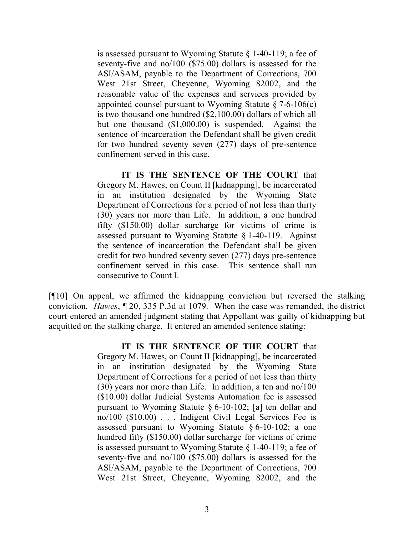is assessed pursuant to Wyoming Statute § 1-40-119; a fee of seventy-five and no/100 (\$75.00) dollars is assessed for the ASI/ASAM, payable to the Department of Corrections, 700 West 21st Street, Cheyenne, Wyoming 82002, and the reasonable value of the expenses and services provided by appointed counsel pursuant to Wyoming Statute  $\S$  7-6-106(c) is two thousand one hundred (\$2,100.00) dollars of which all but one thousand (\$1,000.00) is suspended. Against the sentence of incarceration the Defendant shall be given credit for two hundred seventy seven (277) days of pre-sentence confinement served in this case.

**IT IS THE SENTENCE OF THE COURT** that Gregory M. Hawes, on Count II [kidnapping], be incarcerated in an institution designated by the Wyoming State Department of Corrections for a period of not less than thirty (30) years nor more than Life. In addition, a one hundred fifty (\$150.00) dollar surcharge for victims of crime is assessed pursuant to Wyoming Statute § 1-40-119. Against the sentence of incarceration the Defendant shall be given credit for two hundred seventy seven (277) days pre-sentence confinement served in this case. This sentence shall run consecutive to Count I.

[¶10] On appeal, we affirmed the kidnapping conviction but reversed the stalking conviction. *Hawes*, ¶ 20, 335 P.3d at 1079. When the case was remanded, the district court entered an amended judgment stating that Appellant was guilty of kidnapping but acquitted on the stalking charge. It entered an amended sentence stating:

> **IT IS THE SENTENCE OF THE COURT** that Gregory M. Hawes, on Count II [kidnapping], be incarcerated in an institution designated by the Wyoming State Department of Corrections for a period of not less than thirty (30) years nor more than Life. In addition, a ten and no/100 (\$10.00) dollar Judicial Systems Automation fee is assessed pursuant to Wyoming Statute § 6-10-102; [a] ten dollar and no/100 (\$10.00) . . . Indigent Civil Legal Services Fee is assessed pursuant to Wyoming Statute § 6-10-102; a one hundred fifty (\$150.00) dollar surcharge for victims of crime is assessed pursuant to Wyoming Statute § 1-40-119; a fee of seventy-five and no/100 (\$75.00) dollars is assessed for the ASI/ASAM, payable to the Department of Corrections, 700 West 21st Street, Cheyenne, Wyoming 82002, and the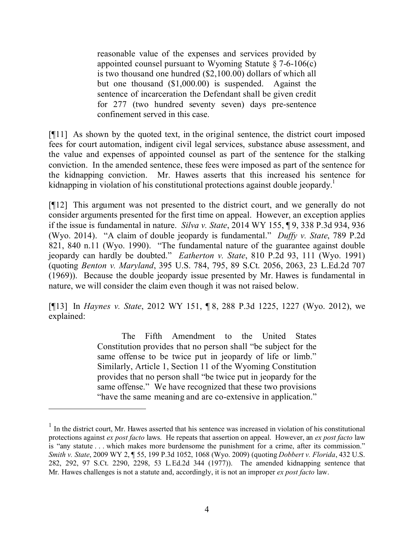reasonable value of the expenses and services provided by appointed counsel pursuant to Wyoming Statute  $\S$  7-6-106(c) is two thousand one hundred (\$2,100.00) dollars of which all but one thousand (\$1,000.00) is suspended. Against the sentence of incarceration the Defendant shall be given credit for 277 (two hundred seventy seven) days pre-sentence confinement served in this case.

[¶11] As shown by the quoted text, in the original sentence, the district court imposed fees for court automation, indigent civil legal services, substance abuse assessment, and the value and expenses of appointed counsel as part of the sentence for the stalking conviction. In the amended sentence, these fees were imposed as part of the sentence for the kidnapping conviction. Mr. Hawes asserts that this increased his sentence for kidnapping in violation of his constitutional protections against double jeopardy.<sup>1</sup>

[¶12] This argument was not presented to the district court, and we generally do not consider arguments presented for the first time on appeal. However, an exception applies if the issue is fundamental in nature. *Silva v. State*, 2014 WY 155, ¶ 9, 338 P.3d 934, 936 (Wyo. 2014). "A claim of double jeopardy is fundamental." *Duffy v. State*, 789 P.2d 821, 840 n.11 (Wyo. 1990). "The fundamental nature of the guarantee against double jeopardy can hardly be doubted." *Eatherton v. State*, 810 P.2d 93, 111 (Wyo. 1991) (quoting *Benton v. Maryland*, 395 U.S. 784, 795, 89 S.Ct. 2056, 2063, 23 L.Ed.2d 707 (1969)). Because the double jeopardy issue presented by Mr. Hawes is fundamental in nature, we will consider the claim even though it was not raised below.

[¶13] In *Haynes v. State*, 2012 WY 151, ¶ 8, 288 P.3d 1225, 1227 (Wyo. 2012), we explained:

> The Fifth Amendment to the United States Constitution provides that no person shall "be subject for the same offense to be twice put in jeopardy of life or limb." Similarly, Article 1, Section 11 of the Wyoming Constitution provides that no person shall "be twice put in jeopardy for the same offense." We have recognized that these two provisions "have the same meaning and are co-extensive in application."

 $\overline{a}$ 

<sup>&</sup>lt;sup>1</sup> In the district court, Mr. Hawes asserted that his sentence was increased in violation of his constitutional protections against *ex post facto* laws. He repeats that assertion on appeal. However, an *ex post facto* law is "any statute . . . which makes more burdensome the punishment for a crime, after its commission." *Smith v. State*, 2009 WY 2, ¶ 55, 199 P.3d 1052, 1068 (Wyo. 2009) (quoting *Dobbert v. Florida*, 432 U.S. 282, 292, 97 S.Ct. 2290, 2298, 53 L.Ed.2d 344 (1977)). The amended kidnapping sentence that Mr. Hawes challenges is not a statute and, accordingly, it is not an improper *ex post facto* law.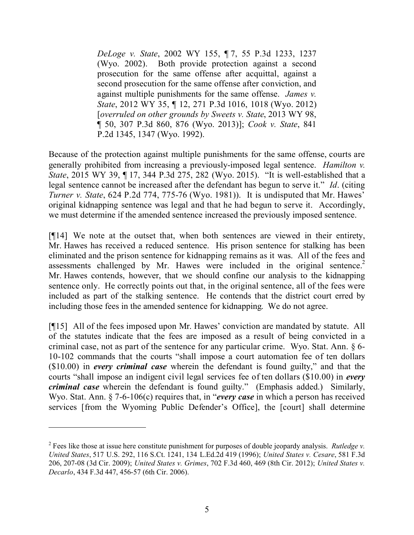*DeLoge v. State*, 2002 WY 155, ¶ 7, 55 P.3d 1233, 1237 (Wyo. 2002). Both provide protection against a second prosecution for the same offense after acquittal, against a second prosecution for the same offense after conviction, and against multiple punishments for the same offense. *James v. State*, 2012 WY 35, ¶ 12, 271 P.3d 1016, 1018 (Wyo. 2012) [*overruled on other grounds by Sweets v. State*, 2013 WY 98, ¶ 50, 307 P.3d 860, 876 (Wyo. 2013)]; *Cook v. State*, 841 P.2d 1345, 1347 (Wyo. 1992).

Because of the protection against multiple punishments for the same offense, courts are generally prohibited from increasing a previously-imposed legal sentence. *Hamilton v. State*, 2015 WY 39, ¶ 17, 344 P.3d 275, 282 (Wyo. 2015). "It is well-established that a legal sentence cannot be increased after the defendant has begun to serve it." *Id*. (citing *Turner v. State*, 624 P.2d 774, 775-76 (Wyo. 1981)). It is undisputed that Mr. Hawes' original kidnapping sentence was legal and that he had begun to serve it. Accordingly, we must determine if the amended sentence increased the previously imposed sentence.

[¶14] We note at the outset that, when both sentences are viewed in their entirety, Mr. Hawes has received a reduced sentence. His prison sentence for stalking has been eliminated and the prison sentence for kidnapping remains as it was. All of the fees and assessments challenged by Mr. Hawes were included in the original sentence.<sup>2</sup> Mr. Hawes contends, however, that we should confine our analysis to the kidnapping sentence only. He correctly points out that, in the original sentence, all of the fees were included as part of the stalking sentence. He contends that the district court erred by including those fees in the amended sentence for kidnapping. We do not agree.

[¶15] All of the fees imposed upon Mr. Hawes' conviction are mandated by statute. All of the statutes indicate that the fees are imposed as a result of being convicted in a criminal case, not as part of the sentence for any particular crime. Wyo. Stat. Ann. § 6- 10-102 commands that the courts "shall impose a court automation fee of ten dollars (\$10.00) in *every criminal case* wherein the defendant is found guilty," and that the courts "shall impose an indigent civil legal services fee of ten dollars (\$10.00) in *every criminal case* wherein the defendant is found guilty." (Emphasis added.) Similarly, Wyo. Stat. Ann. § 7-6-106(c) requires that, in "*every case* in which a person has received services [from the Wyoming Public Defender's Office], the [court] shall determine

 $\overline{a}$ 

<sup>2</sup> Fees like those at issue here constitute punishment for purposes of double jeopardy analysis. *Rutledge v. United States*, 517 U.S. 292, 116 S.Ct. 1241, 134 L.Ed.2d 419 (1996); *United States v. Cesare*, 581 F.3d 206, 207-08 (3d Cir. 2009); *United States v. Grimes*, 702 F.3d 460, 469 (8th Cir. 2012); *United States v. Decarlo*, 434 F.3d 447, 456-57 (6th Cir. 2006).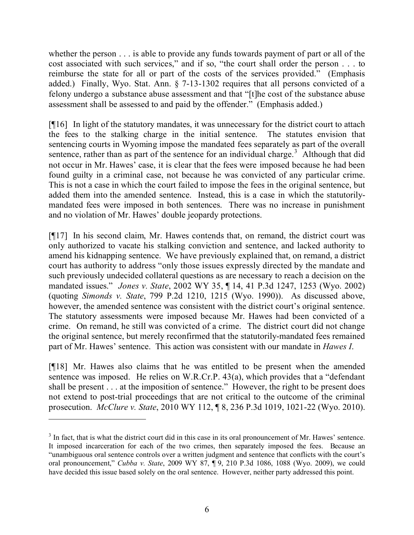whether the person . . . is able to provide any funds towards payment of part or all of the cost associated with such services," and if so, "the court shall order the person . . . to reimburse the state for all or part of the costs of the services provided." (Emphasis added.) Finally, Wyo. Stat. Ann. § 7-13-1302 requires that all persons convicted of a felony undergo a substance abuse assessment and that "[t]he cost of the substance abuse assessment shall be assessed to and paid by the offender." (Emphasis added.)

[¶16] In light of the statutory mandates, it was unnecessary for the district court to attach the fees to the stalking charge in the initial sentence. The statutes envision that sentencing courts in Wyoming impose the mandated fees separately as part of the overall sentence, rather than as part of the sentence for an individual charge.<sup>3</sup> Although that did not occur in Mr. Hawes' case, it is clear that the fees were imposed because he had been found guilty in a criminal case, not because he was convicted of any particular crime. This is not a case in which the court failed to impose the fees in the original sentence, but added them into the amended sentence. Instead, this is a case in which the statutorilymandated fees were imposed in both sentences. There was no increase in punishment and no violation of Mr. Hawes' double jeopardy protections.

[¶17] In his second claim, Mr. Hawes contends that, on remand, the district court was only authorized to vacate his stalking conviction and sentence, and lacked authority to amend his kidnapping sentence. We have previously explained that, on remand, a district court has authority to address "only those issues expressly directed by the mandate and such previously undecided collateral questions as are necessary to reach a decision on the mandated issues." *Jones v. State*, 2002 WY 35, ¶ 14, 41 P.3d 1247, 1253 (Wyo. 2002) (quoting *Simonds v. State*, 799 P.2d 1210, 1215 (Wyo. 1990)). As discussed above, however, the amended sentence was consistent with the district court's original sentence. The statutory assessments were imposed because Mr. Hawes had been convicted of a crime. On remand, he still was convicted of a crime. The district court did not change the original sentence, but merely reconfirmed that the statutorily-mandated fees remained part of Mr. Hawes' sentence. This action was consistent with our mandate in *Hawes I*.

[¶18] Mr. Hawes also claims that he was entitled to be present when the amended sentence was imposed. He relies on W.R.Cr.P. 43(a), which provides that a "defendant shall be present . . . at the imposition of sentence." However, the right to be present does not extend to post-trial proceedings that are not critical to the outcome of the criminal prosecution. *McClure v. State*, 2010 WY 112, ¶ 8, 236 P.3d 1019, 1021-22 (Wyo. 2010).

 $3$  In fact, that is what the district court did in this case in its oral pronouncement of Mr. Hawes' sentence. It imposed incarceration for each of the two crimes, then separately imposed the fees. Because an "unambiguous oral sentence controls over a written judgment and sentence that conflicts with the court's oral pronouncement," *Cubba v. State*, 2009 WY 87, ¶ 9, 210 P.3d 1086, 1088 (Wyo. 2009), we could have decided this issue based solely on the oral sentence. However, neither party addressed this point.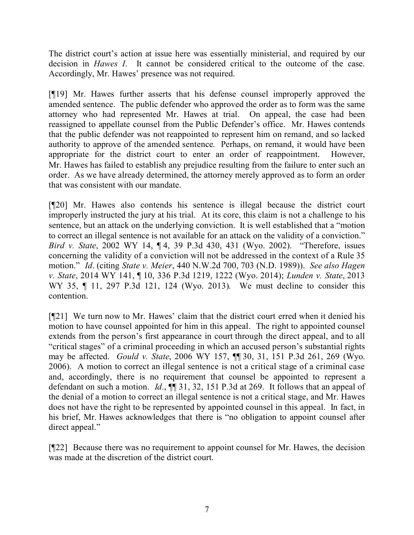The district court's action at issue here was essentially ministerial, and required by our decision in *Hawes I*. It cannot be considered critical to the outcome of the case. Accordingly, Mr. Hawes' presence was not required.

[¶19] Mr. Hawes further asserts that his defense counsel improperly approved the amended sentence. The public defender who approved the order as to form was the same attorney who had represented Mr. Hawes at trial. On appeal, the case had been reassigned to appellate counsel from the Public Defender's office. Mr. Hawes contends that the public defender was not reappointed to represent him on remand, and so lacked authority to approve of the amended sentence. Perhaps, on remand, it would have been appropriate for the district court to enter an order of reappointment. However, Mr. Hawes has failed to establish any prejudice resulting from the failure to enter such an order. As we have already determined, the attorney merely approved as to form an order that was consistent with our mandate.

[¶20] Mr. Hawes also contends his sentence is illegal because the district court improperly instructed the jury at his trial. At its core, this claim is not a challenge to his sentence, but an attack on the underlying conviction. It is well established that a "motion to correct an illegal sentence is not available for an attack on the validity of a conviction." *Bird v. State*, 2002 WY 14, ¶ 4, 39 P.3d 430, 431 (Wyo. 2002). "Therefore, issues concerning the validity of a conviction will not be addressed in the context of a Rule 35 motion." *Id*. (citing *State v. Meier*, 440 N.W.2d 700, 703 (N.D. 1989)). *See also Hagen v. State*, 2014 WY 141, ¶ 10, 336 P.3d 1219, 1222 (Wyo. 2014); *Lunden v. State*, 2013 WY 35, ¶ 11, 297 P.3d 121, 124 (Wyo. 2013). We must decline to consider this contention.

[¶21] We turn now to Mr. Hawes' claim that the district court erred when it denied his motion to have counsel appointed for him in this appeal. The right to appointed counsel extends from the person's first appearance in court through the direct appeal, and to all "critical stages" of a criminal proceeding in which an accused person's substantial rights may be affected. *Gould v. State*, 2006 WY 157, ¶¶ 30, 31, 151 P.3d 261, 269 (Wyo. 2006). A motion to correct an illegal sentence is not a critical stage of a criminal case and, accordingly, there is no requirement that counsel be appointed to represent a defendant on such a motion. *Id*., ¶¶ 31, 32, 151 P.3d at 269. It follows that an appeal of the denial of a motion to correct an illegal sentence is not a critical stage, and Mr. Hawes does not have the right to be represented by appointed counsel in this appeal. In fact, in his brief, Mr. Hawes acknowledges that there is "no obligation to appoint counsel after direct appeal."

[¶22] Because there was no requirement to appoint counsel for Mr. Hawes, the decision was made at the discretion of the district court.